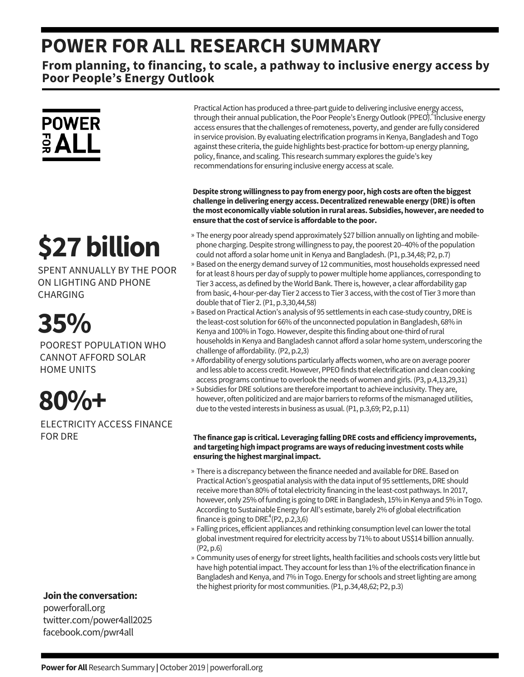### **POWER FOR ALL RESEARCH SUMMARY**

**From planning, to financing, to scale, a pathway to inclusive energy access by Poor People's Energy Outlook**



# **\$27billion**

SPENT ANNUALLY BY THE POOR ON LIGHTING AND PHONE CHARGING

## **35%**

POOREST POPULATION WHO CANNOT AFFORD SOLAR HOME UNITS

## **80%+**

ELECTRICITY ACCESS FINANCE FOR DRE

**Jointhe conversation:**

powerforall.org twitter.com/power4all2025 facebook.com/pwr4all

Practical Action has produced a three-part guide to delivering inclusive energy access, through their annual publication, the Poor People's Energy Outlook (PPEO). Inclusive energy access ensures that the challenges of remoteness, poverty, and gender are fully considered in service provision. By evaluating electrification programs in Kenya, Bangladesh and Togo against these criteria, the guide highlights best-practice for bottom-up energy planning, policy, finance, and scaling. This research summary explores the guide's key recommendations for ensuring inclusive energy access at scale.

**Despite strongwillingness topay fromenergypoor,highcosts are oftenthebiggest challenge indelivering energy access.Decentralizedrenewable energy (DRE)is often themost economically viable solutioninrural areas. Subsidies,however, areneededto ensure thatthe cost of service is affordable to thepoor.**

- » The energy poor already spend approximately \$27 billion annually on lighting and mobilephone charging. Despite strong willingness to pay, the poorest 20–40% of the population could not afford a solar home unit in Kenya and Bangladesh. (P1, p.34,48; P2, p.7)
- » Based on the energy demand survey of 12 communities, most households expressed need for atleast 8 hours per day of supply to power multiple home appliances, corresponding to Tier 3 access, as defined by the World Bank. There is, however, a clear affordability gap from basic, 4-hour-per-day Tier 2 access to Tier 3 access, with the cost of Tier 3 more than double that of Tier 2.(P1, p.3,30,44,58)
- » Based on Practical Action's analysis of 95 settlements in each case-study country, DRE is the least-cost solution for 66% of the unconnected population in Bangladesh, 68% in Kenya and 100% in Togo. However, despite this finding about one-third of rural households in Kenya and Bangladesh cannot afford a solar home system, underscoring the challenge of affordability.(P2, p.2,3)
- » Affordability of energy solutions particularly affects women, who are on average poorer and less able to access credit. However, PPEO finds that electrification and clean cooking access programs continue to overlook the needs of women and girls. (P3, p.4,13,29,31)
- » Subsidies for DRE solutions are therefore important to achieve inclusivity. They are, however, often politicized and are major barriers to reforms of the mismanaged utilities, due to the vested interests in business as usual. (P1, p.3,69; P2, p.11)

#### **The finance gapis critical. Leveraging fallingDRE costs andefficiency improvements, andtargetinghighimpactprograms areways ofreducing investment costswhile ensuring the highest marginal impact.**

- » There is a discrepancy between the finance needed and available for DRE. Based on Practical Action's geospatial analysis with the data input of 95 settlements, DRE should receive more than 80% of total electricity financing in the least-cost pathways. In 2017, however, only 25% of funding is going to DRE in Bangladesh, 15% in Kenya and 5% in Togo. According to Sustainable Energy for All's estimate, barely 2% of global electrification finance is going to DRE.<sup>4</sup>(P2, p.2,3,6)
- » Falling prices, efficient appliances and rethinking consumption level can lower the total global investment required for electricity access by 71% to about US\$14 billion annually. (P2, p.6)
- » Community uses of energy for street lights, health facilities and schools costs very little but have high potential impact. They account for less than 1% of the electrification finance in Bangladesh and Kenya, and 7% in Togo. Energy for schools and street lighting are among the highest priority for most communities. (P1, p.34,48,62; P2, p.3)